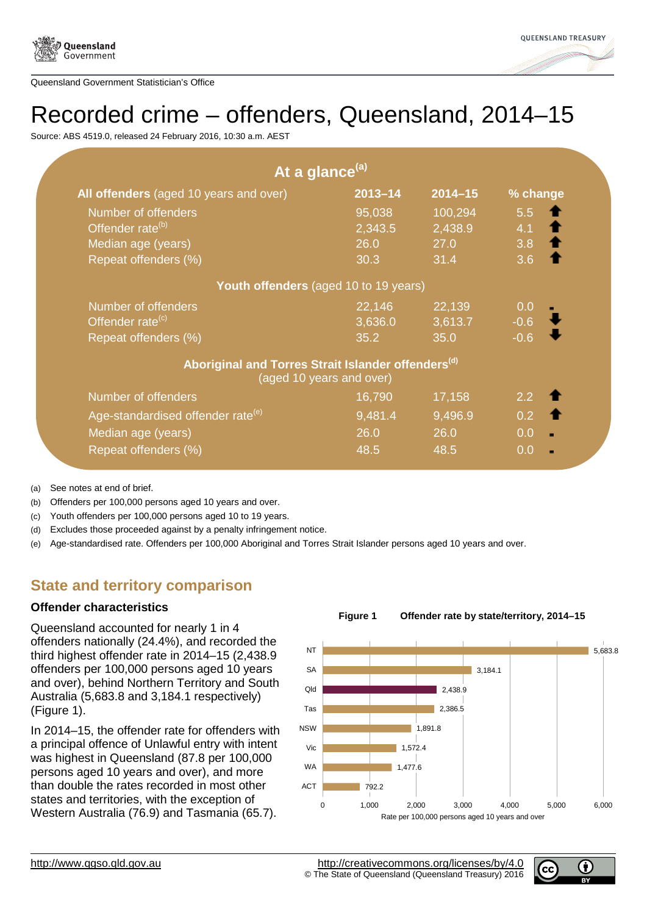



# Recorded crime – offenders, Queensland, 2014–15

Source: ABS 4519.0, released 24 February 2016, 10:30 a.m. AEST

|                                                                | At a glance <sup>(a)</sup> |             |                     |
|----------------------------------------------------------------|----------------------------|-------------|---------------------|
| All offenders (aged 10 years and over)                         | $2013 - 14$                | $2014 - 15$ | % change            |
| Number of offenders                                            | 95,038                     | 100,294     | 5.5                 |
| Offender rate <sup>(b)</sup>                                   | 2,343.5                    | 2,438.9     | 4.1 <b>1</b>        |
| Median age (years)                                             | 26.0                       | 27.0        | $3.8$ 1             |
| Repeat offenders (%)                                           | 30.3                       | 31.4        | 3.6                 |
| Youth offenders (aged 10 to 19 years)                          |                            |             |                     |
| Number of offenders                                            | 22,146                     | 22,139      | 0.0                 |
| Offender rate <sup>(c)</sup>                                   | 3,636.0                    | 3,613.7     | $-0.6$              |
| Repeat offenders (%)                                           | 35.2                       | 35.0        | $-0.6$              |
| Aboriginal and Torres Strait Islander offenders <sup>(d)</sup> | (aged 10 years and over)   |             |                     |
| Number of offenders                                            | 16,790                     | 17,158      | $2.2 \quad 1$       |
| Age-standardised offender rate <sup>(e)</sup>                  | 9,481.4                    | 9,496.9     | $0.2 \quad \bullet$ |
| Median age (years)                                             | 26.0                       | 26.0        | 0.0                 |
| Repeat offenders (%)                                           | 48.5                       | 48.5        | 0.0                 |

(a) See notes at end of brief.

(b) Offenders per 100,000 persons aged 10 years and over.

(c) Youth offenders per 100,000 persons aged 10 to 19 years.

(d) Excludes those proceeded against by a penalty infringement notice.

(e) Age-standardised rate. Offenders per 100,000 Aboriginal and Torres Strait Islander persons aged 10 years and over.

# **State and territory comparison**

# **Offender characteristics**

Queensland accounted for nearly 1 in 4 offenders nationally (24.4%), and recorded the third highest offender rate in 2014–15 (2,438.9 offenders per 100,000 persons aged 10 years and over), behind Northern Territory and South Australia (5,683.8 and 3,184.1 respectively) (Figure 1).

<span id="page-0-0"></span>In 2014–15, the offender rate for offenders with a principal offence of Unlawful entry with intent was highest in Queensland (87.8 per 100,000 persons aged 10 years and over), and more than double the rates recorded in most other states and territories, with the exception of Western Australia (76.9) and Tasmania (65.7).



**Figure 1 Offender rate by state/territory, 2014–15**

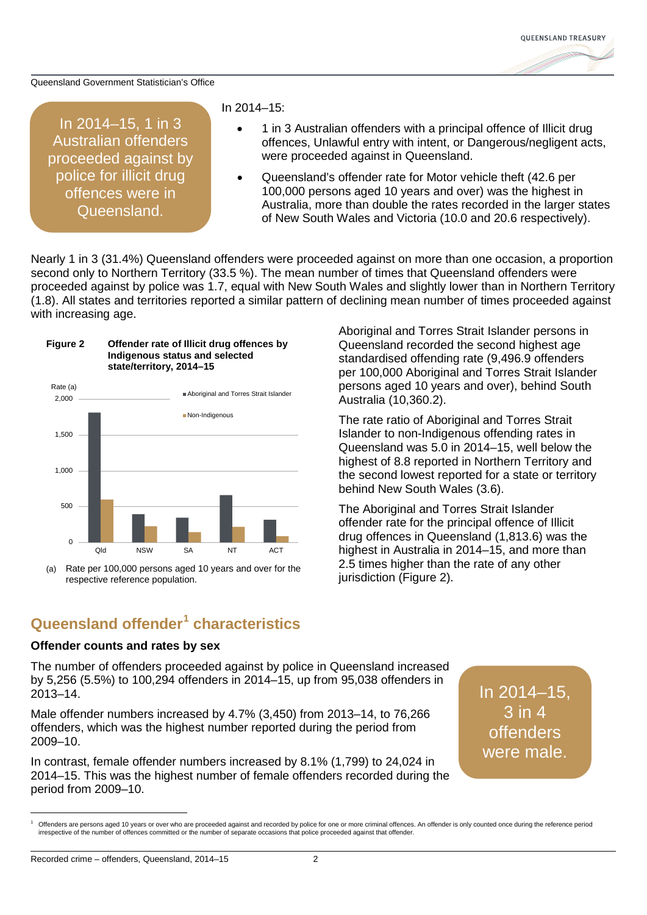

In 2014–15, 1 in 3 Australian offenders proceeded against by police for illicit drug offences were in Queensland.

### In 2014–15:

- 1 in 3 Australian offenders with a principal offence of Illicit drug offences, Unlawful entry with intent, or Dangerous/negligent acts, were proceeded against in Queensland.
- Queensland's offender rate for Motor vehicle theft (42.6 per 100,000 persons aged 10 years and over) was the highest in Australia, more than double the rates recorded in the larger states of New South Wales and Victoria (10.0 and 20.6 respectively).

Nearly 1 in 3 (31.4%) Queensland offenders were proceeded against on more than one occasion, a proportion second only to Northern Territory (33.5 %). The mean number of times that Queensland offenders were proceeded against by police was 1.7, equal with New South Wales and slightly lower than in Northern Territory (1.8). All states and territories reported a similar pattern of declining mean number of times proceeded against with increasing age.



(a) Rate per 100,000 persons aged 10 years and over for the respective reference population.

Aboriginal and Torres Strait Islander persons in Queensland recorded the second highest age standardised offending rate (9,496.9 offenders per 100,000 Aboriginal and Torres Strait Islander persons aged 10 years and over), behind South Australia (10,360.2).

The rate ratio of Aboriginal and Torres Strait Islander to non-Indigenous offending rates in Queensland was 5.0 in 2014–15, well below the highest of 8.8 reported in Northern Territory and the second lowest reported for a state or territory behind New South Wales (3.6).

The Aboriginal and Torres Strait Islander offender rate for the principal offence of Illicit drug offences in Queensland (1,813.6) was the highest in Australia in 2014–15, and more than 2.5 times higher than the rate of any other jurisdiction (Figure 2).

# **Queensland offender[1](#page-0-0) characteristics**

### **Offender counts and rates by sex**

The number of offenders proceeded against by police in Queensland increased by 5,256 (5.5%) to 100,294 offenders in 2014–15, up from 95,038 offenders in 2013–14.

Male offender numbers increased by 4.7% (3,450) from 2013–14, to 76,266 offenders, which was the highest number reported during the period from 2009–10.

In contrast, female offender numbers increased by 8.1% (1,799) to 24,024 in 2014–15. This was the highest number of female offenders recorded during the period from 2009–10.

In 2014–15, 3 in 4 offenders were male.

<span id="page-1-0"></span>Offenders are persons aged 10 years or over who are proceeded against and recorded by police for one or more criminal offences. An offender is only counted once during the reference period irrespective of the number of offences committed or the number of separate occasions that police proceeded against that offender.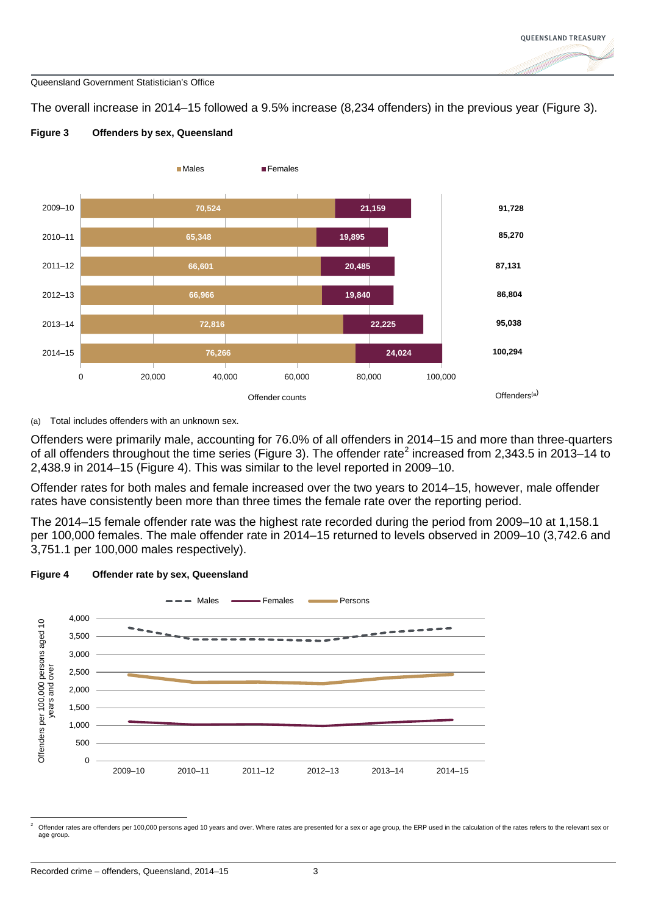The overall increase in 2014–15 followed a 9.5% increase (8,234 offenders) in the previous year (Figure 3).



### **Figure 3 Offenders by sex, Queensland**

(a) Total includes offenders with an unknown sex.

Offenders were primarily male, accounting for 76.0% of all offenders in 2014–15 and more than three-quarters of all offenders throughout the time series (Figure 3). The offender rate<sup>[2](#page-1-0)</sup> increased from 2,343.5 in 2013–14 to 2,438.9 in 2014–15 (Figure 4). This was similar to the level reported in 2009–10.

Offender rates for both males and female increased over the two years to 2014–15, however, male offender rates have consistently been more than three times the female rate over the reporting period.

The 2014–15 female offender rate was the highest rate recorded during the period from 2009–10 at 1,158.1 per 100,000 females. The male offender rate in 2014–15 returned to levels observed in 2009–10 (3,742.6 and 3,751.1 per 100,000 males respectively).





<span id="page-2-0"></span>Offender rates are offenders per 100,000 persons aged 10 years and over. Where rates are presented for a sex or age group, the ERP used in the calculation of the rates refers to the relevant sex or age group.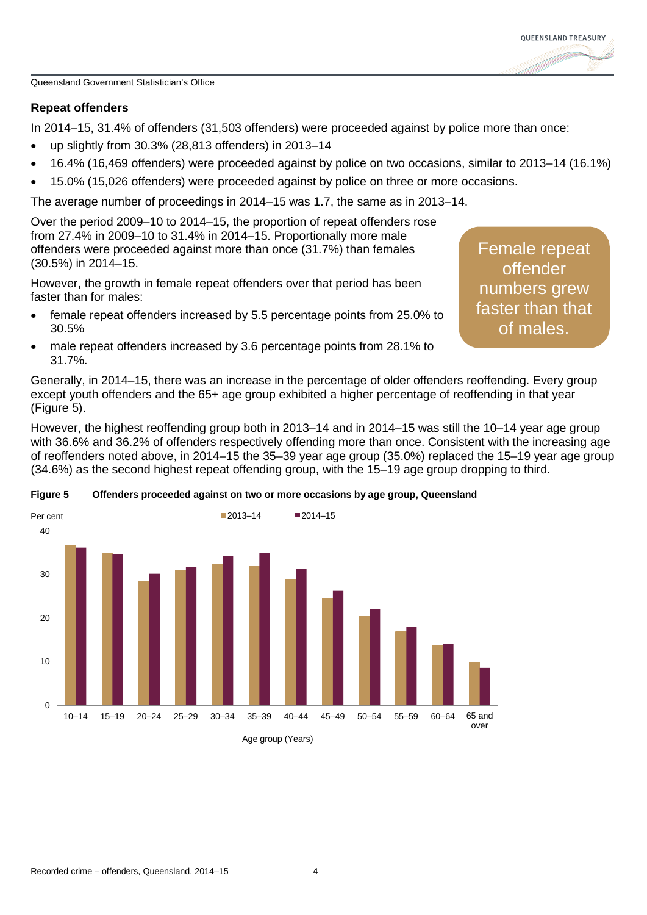

# **Repeat offenders**

In 2014–15, 31.4% of offenders (31,503 offenders) were proceeded against by police more than once:

- up slightly from 30.3% (28,813 offenders) in 2013–14
- 16.4% (16,469 offenders) were proceeded against by police on two occasions, similar to 2013–14 (16.1%)
- 15.0% (15,026 offenders) were proceeded against by police on three or more occasions.

The average number of proceedings in 2014–15 was 1.7, the same as in 2013–14.

Over the period 2009–10 to 2014–15, the proportion of repeat offenders rose from 27.4% in 2009–10 to 31.4% in 2014–15. Proportionally more male offenders were proceeded against more than once (31.7%) than females (30.5%) in 2014–15.

However, the growth in female repeat offenders over that period has been faster than for males:

- female repeat offenders increased by 5.5 percentage points from 25.0% to 30.5%
- male repeat offenders increased by 3.6 percentage points from 28.1% to 31.7%.

Female repeat **offender** numbers grew faster than that of males.

Generally, in 2014–15, there was an increase in the percentage of older offenders reoffending. Every group except youth offenders and the 65+ age group exhibited a higher percentage of reoffending in that year (Figure 5).

However, the highest reoffending group both in 2013–14 and in 2014–15 was still the 10–14 year age group with 36.6% and 36.2% of offenders respectively offending more than once. Consistent with the increasing age of reoffenders noted above, in 2014–15 the 35–39 year age group (35.0%) replaced the 15–19 year age group (34.6%) as the second highest repeat offending group, with the 15–19 age group dropping to third.



### **Figure 5 Offenders proceeded against on two or more occasions by age group, Queensland**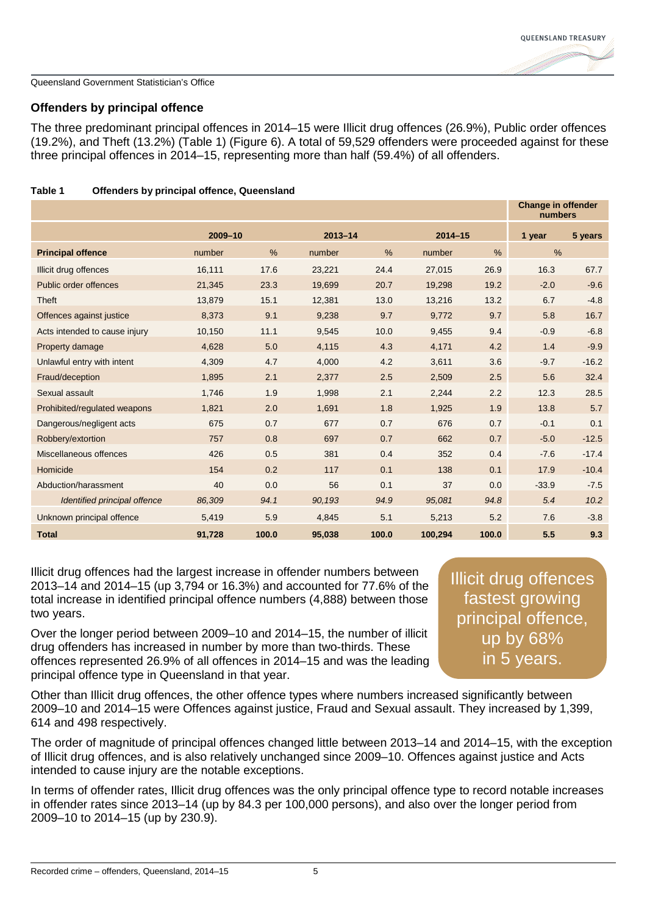

# **Offenders by principal offence**

The three predominant principal offences in 2014–15 were Illicit drug offences (26.9%), Public order offences (19.2%), and Theft (13.2%) (Table 1) (Figure 6). A total of 59,529 offenders were proceeded against for these three principal offences in 2014–15, representing more than half (59.4%) of all offenders.

|                               |         |               |             |       |             |       | <b>Change in offender</b><br>numbers |         |
|-------------------------------|---------|---------------|-------------|-------|-------------|-------|--------------------------------------|---------|
|                               | 2009-10 |               | $2013 - 14$ |       | $2014 - 15$ |       | 1 year                               | 5 years |
| <b>Principal offence</b>      | number  | $\frac{0}{0}$ | number      | %     | number      | $\%$  | $\%$                                 |         |
| Illicit drug offences         | 16,111  | 17.6          | 23,221      | 24.4  | 27,015      | 26.9  | 16.3                                 | 67.7    |
| Public order offences         | 21,345  | 23.3          | 19,699      | 20.7  | 19,298      | 19.2  | $-2.0$                               | $-9.6$  |
| Theft                         | 13,879  | 15.1          | 12,381      | 13.0  | 13,216      | 13.2  | 6.7                                  | $-4.8$  |
| Offences against justice      | 8,373   | 9.1           | 9,238       | 9.7   | 9,772       | 9.7   | 5.8                                  | 16.7    |
| Acts intended to cause injury | 10,150  | 11.1          | 9,545       | 10.0  | 9,455       | 9.4   | $-0.9$                               | $-6.8$  |
| Property damage               | 4,628   | 5.0           | 4,115       | 4.3   | 4,171       | 4.2   | 1.4                                  | $-9.9$  |
| Unlawful entry with intent    | 4,309   | 4.7           | 4,000       | 4.2   | 3,611       | 3.6   | $-9.7$                               | $-16.2$ |
| Fraud/deception               | 1,895   | 2.1           | 2,377       | 2.5   | 2,509       | 2.5   | 5.6                                  | 32.4    |
| Sexual assault                | 1,746   | 1.9           | 1,998       | 2.1   | 2,244       | 2.2   | 12.3                                 | 28.5    |
| Prohibited/regulated weapons  | 1,821   | 2.0           | 1,691       | 1.8   | 1,925       | 1.9   | 13.8                                 | 5.7     |
| Dangerous/negligent acts      | 675     | 0.7           | 677         | 0.7   | 676         | 0.7   | $-0.1$                               | 0.1     |
| Robbery/extortion             | 757     | 0.8           | 697         | 0.7   | 662         | 0.7   | $-5.0$                               | $-12.5$ |
| Miscellaneous offences        | 426     | 0.5           | 381         | 0.4   | 352         | 0.4   | $-7.6$                               | $-17.4$ |
| Homicide                      | 154     | 0.2           | 117         | 0.1   | 138         | 0.1   | 17.9                                 | $-10.4$ |
| Abduction/harassment          | 40      | 0.0           | 56          | 0.1   | 37          | 0.0   | $-33.9$                              | $-7.5$  |
| Identified principal offence  | 86,309  | 94.1          | 90,193      | 94.9  | 95,081      | 94.8  | 5.4                                  | 10.2    |
| Unknown principal offence     | 5,419   | 5.9           | 4,845       | 5.1   | 5,213       | 5.2   | 7.6                                  | $-3.8$  |
| <b>Total</b>                  | 91,728  | 100.0         | 95,038      | 100.0 | 100,294     | 100.0 | 5.5                                  | 9.3     |

### **Table 1 Offenders by principal offence, Queensland**

Illicit drug offences had the largest increase in offender numbers between 2013–14 and 2014–15 (up 3,794 or 16.3%) and accounted for 77.6% of the total increase in identified principal offence numbers (4,888) between those two years.

Over the longer period between 2009–10 and 2014–15, the number of illicit drug offenders has increased in number by more than two-thirds. These offences represented 26.9% of all offences in 2014–15 and was the leading principal offence type in Queensland in that year.

Illicit drug offences fastest growing principal offence, up by 68% in 5 years.

Other than Illicit drug offences, the other offence types where numbers increased significantly between 2009–10 and 2014–15 were Offences against justice, Fraud and Sexual assault. They increased by 1,399, 614 and 498 respectively.

The order of magnitude of principal offences changed little between 2013–14 and 2014–15, with the exception of Illicit drug offences, and is also relatively unchanged since 2009–10. Offences against justice and Acts intended to cause injury are the notable exceptions.

In terms of offender rates, Illicit drug offences was the only principal offence type to record notable increases in offender rates since 2013–14 (up by 84.3 per 100,000 persons), and also over the longer period from 2009–10 to 2014–15 (up by 230.9).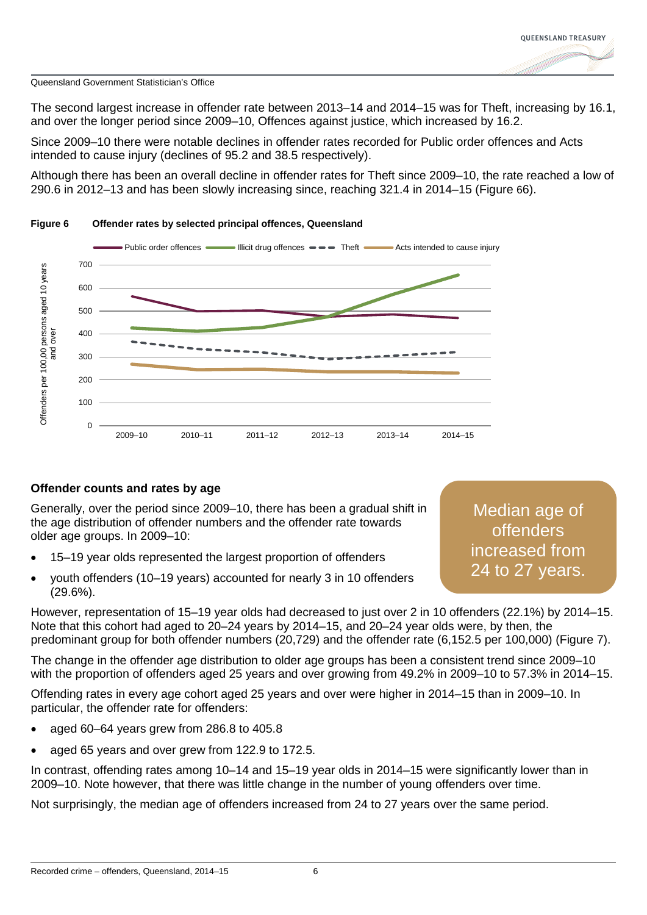

The second largest increase in offender rate between 2013–14 and 2014–15 was for Theft, increasing by 16.1, and over the longer period since 2009–10, Offences against justice, which increased by 16.2.

Since 2009–10 there were notable declines in offender rates recorded for Public order offences and Acts intended to cause injury (declines of 95.2 and 38.5 respectively).

Although there has been an overall decline in offender rates for Theft since 2009–10, the rate reached a low of 290.6 in 2012–13 and has been slowly increasing since, reaching 321.4 in 2014–15 (Figure 66).



### **Figure 6 Offender rates by selected principal offences, Queensland**

# **Offender counts and rates by age**

Generally, over the period since 2009–10, there has been a gradual shift in the age distribution of offender numbers and the offender rate towards older age groups. In 2009–10:

- 15–19 year olds represented the largest proportion of offenders
- youth offenders (10–19 years) accounted for nearly 3 in 10 offenders (29.6%).

Median age of offenders increased from 24 to 27 years.

However, representation of 15–19 year olds had decreased to just over 2 in 10 offenders (22.1%) by 2014–15. Note that this cohort had aged to 20–24 years by 2014–15, and 20–24 year olds were, by then, the predominant group for both offender numbers (20,729) and the offender rate (6,152.5 per 100,000) (Figure 7).

The change in the offender age distribution to older age groups has been a consistent trend since 2009–10 with the proportion of offenders aged 25 years and over growing from 49.2% in 2009–10 to 57.3% in 2014–15.

Offending rates in every age cohort aged 25 years and over were higher in 2014–15 than in 2009–10. In particular, the offender rate for offenders:

- aged 60–64 years grew from 286.8 to 405.8
- aged 65 years and over grew from 122.9 to 172.5.

In contrast, offending rates among 10–14 and 15–19 year olds in 2014–15 were significantly lower than in 2009–10. Note however, that there was little change in the number of young offenders over time.

Not surprisingly, the median age of offenders increased from 24 to 27 years over the same period.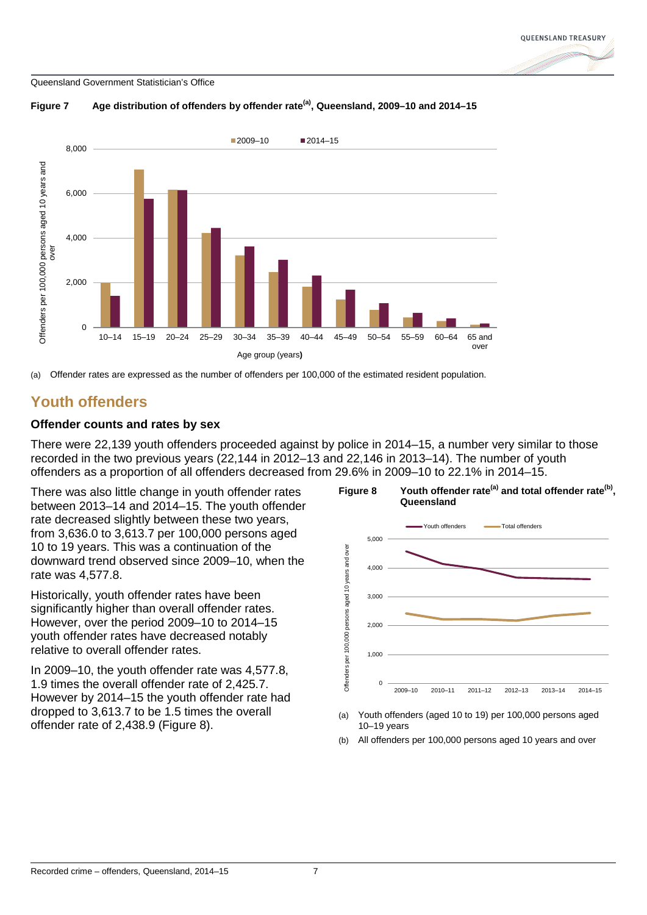



### **Figure 7 Age distribution of offenders by offender rate(a), Queensland, 2009–10 and 2014–15**

(a) Offender rates are expressed as the number of offenders per 100,000 of the estimated resident population.

# **Youth offenders**

# **Offender counts and rates by sex**

There were 22,139 youth offenders proceeded against by police in 2014–15, a number very similar to those recorded in the two previous years (22,144 in 2012–13 and 22,146 in 2013–14). The number of youth offenders as a proportion of all offenders decreased from 29.6% in 2009–10 to 22.1% in 2014–15.

There was also little change in youth offender rates between 2013–14 and 2014–15. The youth offender rate decreased slightly between these two years, from 3,636.0 to 3,613.7 per 100,000 persons aged 10 to 19 years. This was a continuation of the downward trend observed since 2009–10, when the rate was 4,577.8.

Historically, youth offender rates have been significantly higher than overall offender rates. However, over the period 2009–10 to 2014–15 youth offender rates have decreased notably relative to overall offender rates.

In 2009–10, the youth offender rate was 4,577.8, 1.9 times the overall offender rate of 2,425.7. However by 2014–15 the youth offender rate had dropped to 3,613.7 to be 1.5 times the overall offender rate of 2,438.9 (Figure 8).



- (a) Youth offenders (aged 10 to 19) per 100,000 persons aged 10–19 years
- (b) All offenders per 100,000 persons aged 10 years and over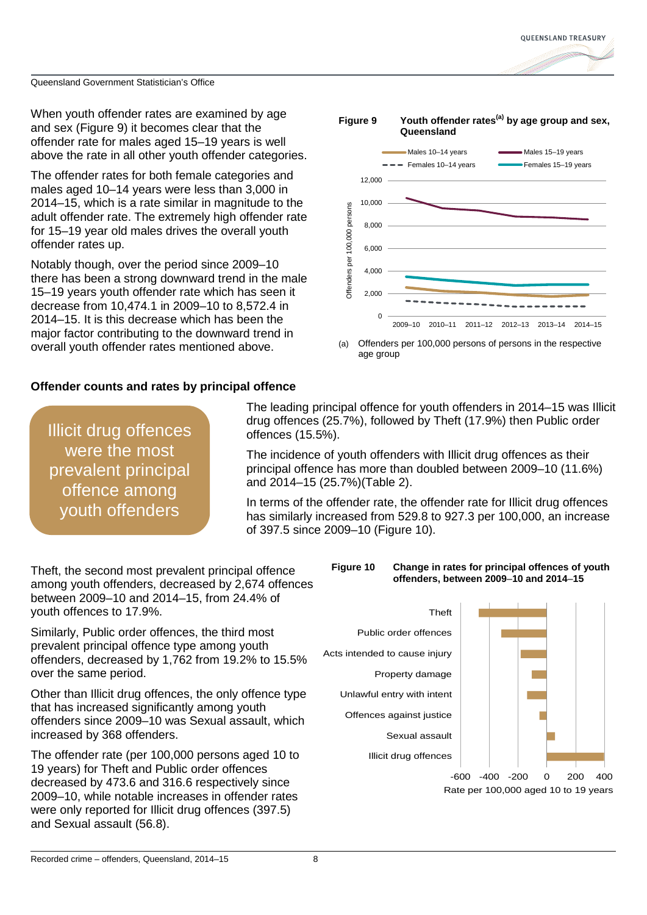

When youth offender rates are examined by age and sex (Figure 9) it becomes clear that the offender rate for males aged 15–19 years is well above the rate in all other youth offender categories.

The offender rates for both female categories and males aged 10–14 years were less than 3,000 in 2014–15, which is a rate similar in magnitude to the adult offender rate. The extremely high offender rate for 15–19 year old males drives the overall youth offender rates up.

Notably though, over the period since 2009–10 there has been a strong downward trend in the male 15–19 years youth offender rate which has seen it decrease from 10,474.1 in 2009–10 to 8,572.4 in 2014–15. It is this decrease which has been the major factor contributing to the downward trend in overall youth offender rates mentioned above.



Offenders per 100,000 persons of persons in the respective age group

# **Offender counts and rates by principal offence**

Illicit drug offences were the most prevalent principal offence among youth offenders

The leading principal offence for youth offenders in 2014–15 was Illicit drug offences (25.7%), followed by Theft (17.9%) then Public order offences (15.5%).

The incidence of youth offenders with Illicit drug offences as their principal offence has more than doubled between 2009–10 (11.6%) and 2014–15 (25.7%)(Table 2).

In terms of the offender rate, the offender rate for Illicit drug offences has similarly increased from 529.8 to 927.3 per 100,000, an increase of 397.5 since 2009–10 (Figure 10).

Theft, the second most prevalent principal offence among youth offenders, decreased by 2,674 offences between 2009–10 and 2014–15, from 24.4% of youth offences to 17.9%.

Similarly, Public order offences, the third most prevalent principal offence type among youth offenders, decreased by 1,762 from 19.2% to 15.5% over the same period.

Other than Illicit drug offences, the only offence type that has increased significantly among youth offenders since 2009–10 was Sexual assault, which increased by 368 offenders.

The offender rate (per 100,000 persons aged 10 to 19 years) for Theft and Public order offences decreased by 473.6 and 316.6 respectively since 2009–10, while notable increases in offender rates were only reported for Illicit drug offences (397.5) and Sexual assault (56.8).



Illicit drug offences Sexual assault Offences against justice Unlawful entry with intent Property damage Acts intended to cause injury Public order offences Theft



Rate per 100,000 aged 10 to 19 years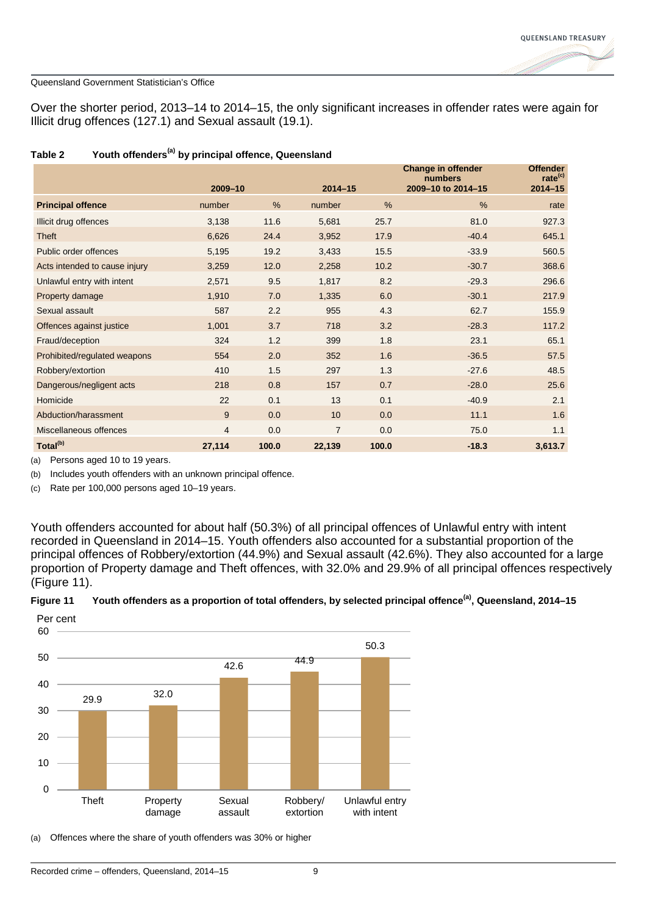

Over the shorter period, 2013–14 to 2014–15, the only significant increases in offender rates were again for Illicit drug offences (127.1) and Sexual assault (19.1).

|                               | 2009-10        |       | $2014 - 15$    |       | <b>Change in offender</b><br>numbers<br>2009-10 to 2014-15 | <b>Offender</b><br>rate <sup>(c)</sup><br>$2014 - 15$ |
|-------------------------------|----------------|-------|----------------|-------|------------------------------------------------------------|-------------------------------------------------------|
| <b>Principal offence</b>      | number         | %     | number         | $\%$  | $\%$                                                       | rate                                                  |
| Illicit drug offences         | 3,138          | 11.6  | 5,681          | 25.7  | 81.0                                                       | 927.3                                                 |
| Theft                         | 6,626          | 24.4  | 3,952          | 17.9  | $-40.4$                                                    | 645.1                                                 |
| Public order offences         | 5,195          | 19.2  | 3,433          | 15.5  | $-33.9$                                                    | 560.5                                                 |
| Acts intended to cause injury | 3,259          | 12.0  | 2,258          | 10.2  | $-30.7$                                                    | 368.6                                                 |
| Unlawful entry with intent    | 2,571          | 9.5   | 1,817          | 8.2   | $-29.3$                                                    | 296.6                                                 |
| Property damage               | 1,910          | 7.0   | 1,335          | 6.0   | $-30.1$                                                    | 217.9                                                 |
| Sexual assault                | 587            | 2.2   | 955            | 4.3   | 62.7                                                       | 155.9                                                 |
| Offences against justice      | 1,001          | 3.7   | 718            | 3.2   | $-28.3$                                                    | 117.2                                                 |
| Fraud/deception               | 324            | 1.2   | 399            | 1.8   | 23.1                                                       | 65.1                                                  |
| Prohibited/regulated weapons  | 554            | 2.0   | 352            | 1.6   | $-36.5$                                                    | 57.5                                                  |
| Robbery/extortion             | 410            | 1.5   | 297            | 1.3   | $-27.6$                                                    | 48.5                                                  |
| Dangerous/negligent acts      | 218            | 0.8   | 157            | 0.7   | $-28.0$                                                    | 25.6                                                  |
| Homicide                      | 22             | 0.1   | 13             | 0.1   | $-40.9$                                                    | 2.1                                                   |
| Abduction/harassment          | 9              | 0.0   | 10             | 0.0   | 11.1                                                       | 1.6                                                   |
| Miscellaneous offences        | $\overline{4}$ | 0.0   | $\overline{7}$ | 0.0   | 75.0                                                       | 1.1                                                   |
| Total <sup>(b)</sup>          | 27,114         | 100.0 | 22,139         | 100.0 | $-18.3$                                                    | 3,613.7                                               |

### **Table 2 Youth offenders(a) by principal offence, Queensland**

(a) Persons aged 10 to 19 years.

(b) Includes youth offenders with an unknown principal offence.

(c) Rate per 100,000 persons aged 10–19 years.

Youth offenders accounted for about half (50.3%) of all principal offences of Unlawful entry with intent recorded in Queensland in 2014–15. Youth offenders also accounted for a substantial proportion of the principal offences of Robbery/extortion (44.9%) and Sexual assault (42.6%). They also accounted for a large proportion of Property damage and Theft offences, with 32.0% and 29.9% of all principal offences respectively (Figure 11).





(a) Offences where the share of youth offenders was 30% or higher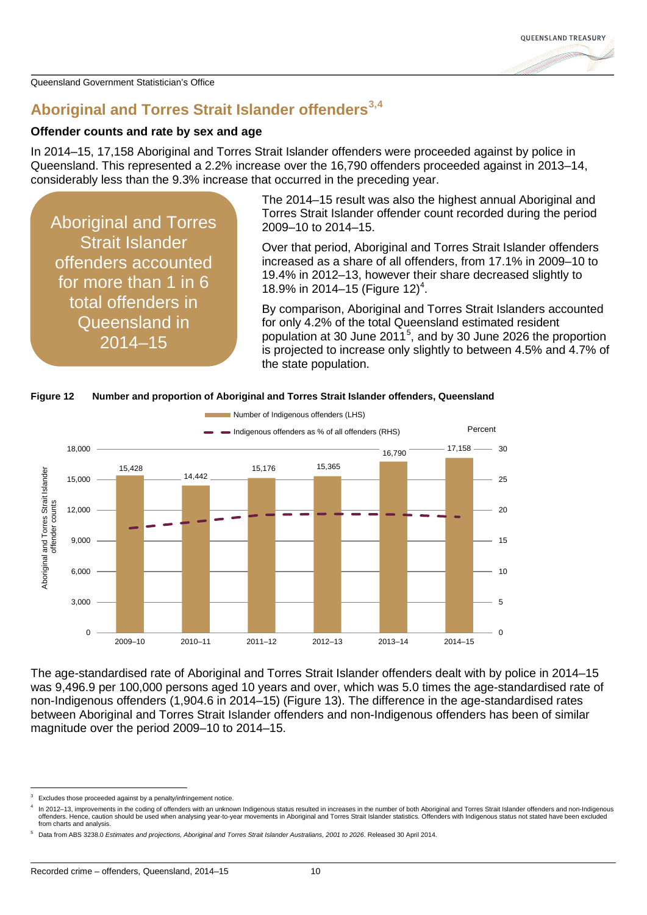# **Aboriginal and Torres Strait Islander offenders[3](#page-2-0),[4](#page-9-0)**

### **Offender counts and rate by sex and age**

In 2014–15, 17,158 Aboriginal and Torres Strait Islander offenders were proceeded against by police in Queensland. This represented a 2.2% increase over the 16,790 offenders proceeded against in 2013–14, considerably less than the 9.3% increase that occurred in the preceding year.

Aboriginal and Torres Strait Islander offenders accounted for more than 1 in 6 total offenders in Queensland in 2014–15

The 2014–15 result was also the highest annual Aboriginal and Torres Strait Islander offender count recorded during the period 2009–10 to 2014–15.

Over that period, Aboriginal and Torres Strait Islander offenders increased as a share of all offenders, from 17.1% in 2009–10 to 19.4% in 2012–13, however their share decreased slightly to 18.9% in 2014-15 (Figure 12)<sup>4</sup>.

By comparison, Aboriginal and Torres Strait Islanders accounted for only 4.2% of the total Queensland estimated resident population at 30 June 2011<sup>[5](#page-9-1)</sup>, and by 30 June 2026 the proportion is projected to increase only slightly to between 4.5% and 4.7% of the state population.



**Figure 12 Number and proportion of Aboriginal and Torres Strait Islander offenders, Queensland**

The age-standardised rate of Aboriginal and Torres Strait Islander offenders dealt with by police in 2014–15 was 9,496.9 per 100,000 persons aged 10 years and over, which was 5.0 times the age-standardised rate of non-Indigenous offenders (1,904.6 in 2014–15) (Figure 13). The difference in the age-standardised rates between Aboriginal and Torres Strait Islander offenders and non-Indigenous offenders has been of similar magnitude over the period 2009–10 to 2014–15.

Excludes those proceeded against by a penalty/infringement notice

<span id="page-9-0"></span>In 2012–13, improvements in the coding of offenders with an unknown Indigenous status resulted in increases in the number of both Aboriginal and Torres Strait Islander offenders and non-Indigenous offenders. Hence, caution should be used when analysing year-to-year movements in Aboriginal and Torres Strait Islander statistics. Offenders with Indigenous status not stated have been excluded from charts and analysis.

<span id="page-9-1"></span><sup>5</sup> Data from ABS 3238.0 *Estimates and projections, Aboriginal and Torres Strait Islander Australians, 2001 to 2026*. Released 30 April 2014.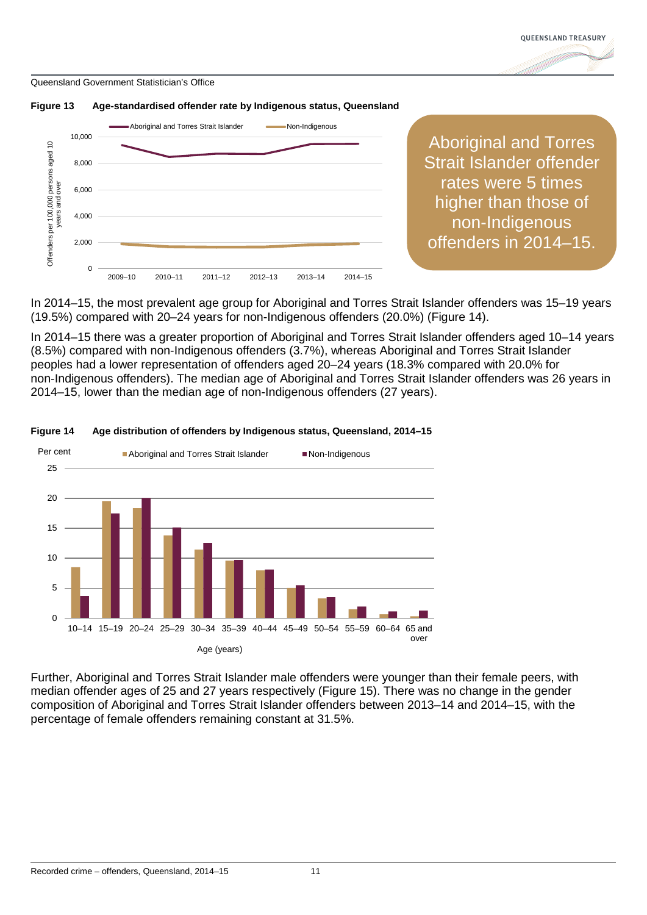





Aboriginal and Torres Strait Islander offender rates were 5 times higher than those of non-Indigenous offenders in 2014–15.

In 2014–15, the most prevalent age group for Aboriginal and Torres Strait Islander offenders was 15–19 years (19.5%) compared with 20–24 years for non-Indigenous offenders (20.0%) (Figure 14).

In 2014–15 there was a greater proportion of Aboriginal and Torres Strait Islander offenders aged 10–14 years (8.5%) compared with non-Indigenous offenders (3.7%), whereas Aboriginal and Torres Strait Islander peoples had a lower representation of offenders aged 20–24 years (18.3% compared with 20.0% for non-Indigenous offenders). The median age of Aboriginal and Torres Strait Islander offenders was 26 years in 2014–15, lower than the median age of non-Indigenous offenders (27 years).



**Figure 14 Age distribution of offenders by Indigenous status, Queensland, 2014–15**

Further, Aboriginal and Torres Strait Islander male offenders were younger than their female peers, with median offender ages of 25 and 27 years respectively (Figure 15). There was no change in the gender composition of Aboriginal and Torres Strait Islander offenders between 2013–14 and 2014–15, with the percentage of female offenders remaining constant at 31.5%.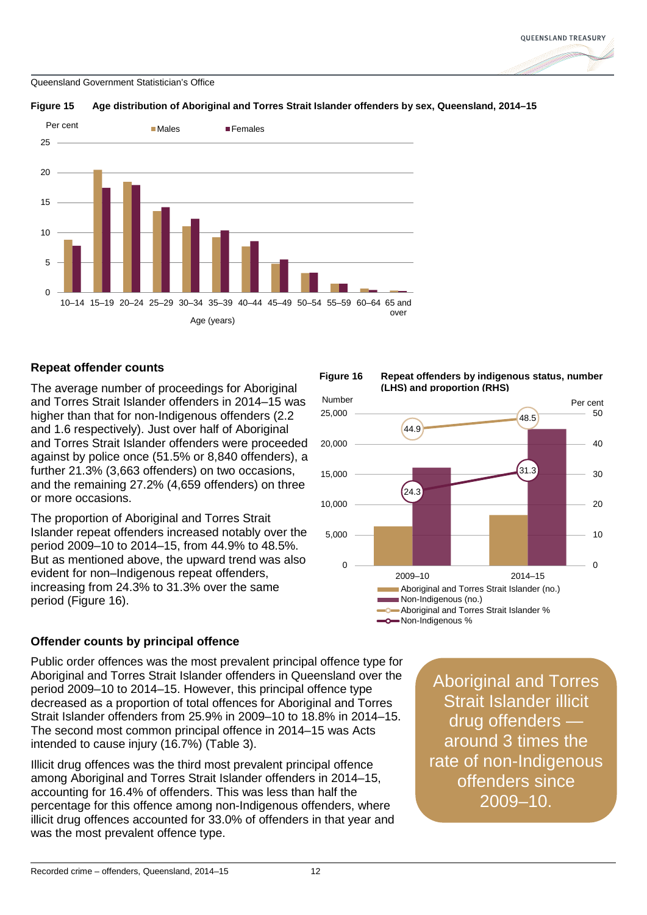



### **Figure 15 Age distribution of Aboriginal and Torres Strait Islander offenders by sex, Queensland, 2014–15**

# **Repeat offender counts**

The average number of proceedings for Aboriginal and Torres Strait Islander offenders in 2014–15 was higher than that for non-Indigenous offenders (2.2 and 1.6 respectively). Just over half of Aboriginal and Torres Strait Islander offenders were proceeded against by police once (51.5% or 8,840 offenders), a further 21.3% (3,663 offenders) on two occasions, and the remaining 27.2% (4,659 offenders) on three or more occasions.

The proportion of Aboriginal and Torres Strait Islander repeat offenders increased notably over the period 2009–10 to 2014–15, from 44.9% to 48.5%. But as mentioned above, the upward trend was also evident for non–Indigenous repeat offenders, increasing from 24.3% to 31.3% over the same period (Figure 16).





# **Offender counts by principal offence**

Public order offences was the most prevalent principal offence type for Aboriginal and Torres Strait Islander offenders in Queensland over the period 2009–10 to 2014–15. However, this principal offence type decreased as a proportion of total offences for Aboriginal and Torres Strait Islander offenders from 25.9% in 2009–10 to 18.8% in 2014–15. The second most common principal offence in 2014–15 was Acts intended to cause injury (16.7%) (Table 3).

Illicit drug offences was the third most prevalent principal offence among Aboriginal and Torres Strait Islander offenders in 2014–15, accounting for 16.4% of offenders. This was less than half the percentage for this offence among non-Indigenous offenders, where illicit drug offences accounted for 33.0% of offenders in that year and was the most prevalent offence type.

Aboriginal and Torres Strait Islander illicit drug offenders around 3 times the rate of non-Indigenous offenders since 2009–10.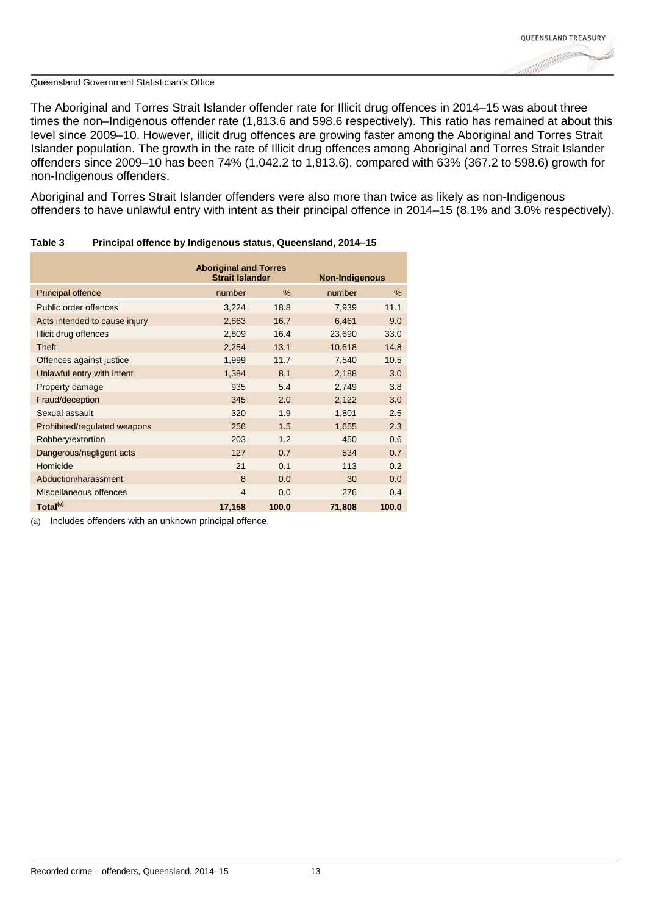

The Aboriginal and Torres Strait Islander offender rate for Illicit drug offences in 2014–15 was about three times the non–Indigenous offender rate (1,813.6 and 598.6 respectively). This ratio has remained at about this level since 2009–10. However, illicit drug offences are growing faster among the Aboriginal and Torres Strait Islander population. The growth in the rate of Illicit drug offences among Aboriginal and Torres Strait Islander offenders since 2009–10 has been 74% (1,042.2 to 1,813.6), compared with 63% (367.2 to 598.6) growth for non-Indigenous offenders.

Aboriginal and Torres Strait Islander offenders were also more than twice as likely as non-Indigenous offenders to have unlawful entry with intent as their principal offence in 2014–15 (8.1% and 3.0% respectively).

|                               | <b>Aboriginal and Torres</b><br><b>Strait Islander</b> |       | <b>Non-Indigenous</b> |       |
|-------------------------------|--------------------------------------------------------|-------|-----------------------|-------|
| <b>Principal offence</b>      | number                                                 | $\%$  | number                | %     |
|                               |                                                        |       |                       |       |
| Public order offences         | 3,224                                                  | 18.8  | 7,939                 | 11.1  |
| Acts intended to cause injury | 2,863                                                  | 16.7  | 6,461                 | 9.0   |
| Illicit drug offences         | 2,809                                                  | 16.4  | 23,690                | 33.0  |
| <b>Theft</b>                  | 2,254                                                  | 13.1  | 10,618                | 14.8  |
| Offences against justice      | 1,999                                                  | 11.7  | 7,540                 | 10.5  |
| Unlawful entry with intent    | 1,384                                                  | 8.1   | 2,188                 | 3.0   |
| Property damage               | 935                                                    | 5.4   | 2,749                 | 3.8   |
| Fraud/deception               | 345                                                    | 2.0   | 2,122                 | 3.0   |
| Sexual assault                | 320                                                    | 1.9   | 1,801                 | 2.5   |
| Prohibited/regulated weapons  | 256                                                    | 1.5   | 1,655                 | 2.3   |
| Robbery/extortion             | 203                                                    | 1.2   | 450                   | 0.6   |
| Dangerous/negligent acts      | 127                                                    | 0.7   | 534                   | 0.7   |
| Homicide                      | 21                                                     | 0.1   | 113                   | 0.2   |
| Abduction/harassment          | 8                                                      | 0.0   | 30                    | 0.0   |
| Miscellaneous offences        | $\overline{4}$                                         | 0.0   | 276                   | 0.4   |
| Total <sup>(a)</sup>          | 17,158                                                 | 100.0 | 71,808                | 100.0 |

### **Table 3 Principal offence by Indigenous status, Queensland, 2014–15**

(a) Includes offenders with an unknown principal offence.